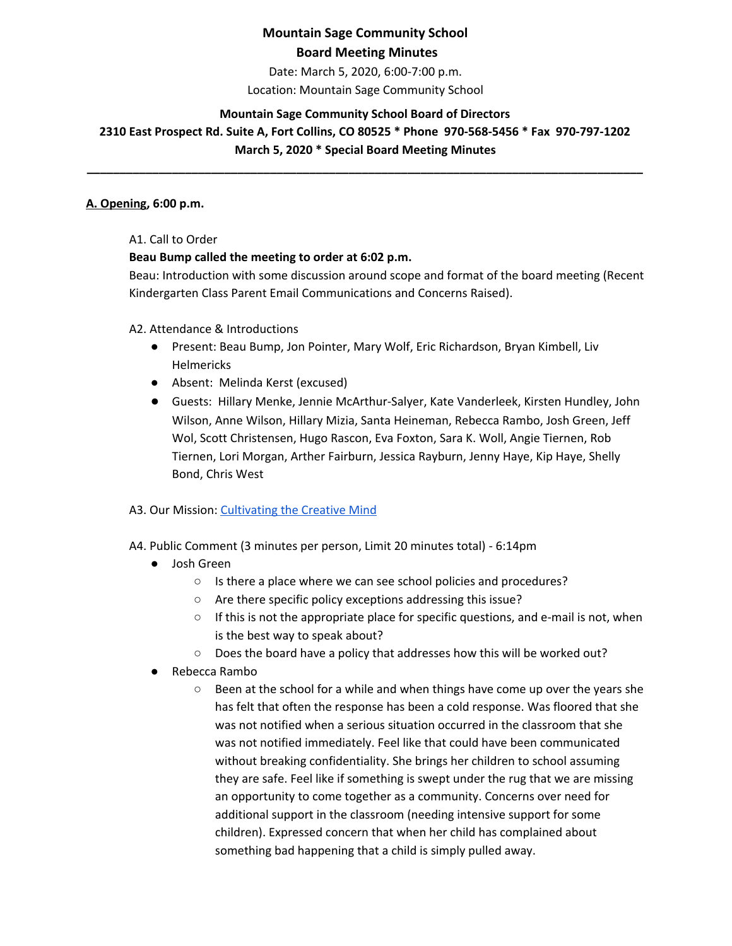Date: March 5, 2020, 6:00-7:00 p.m. Location: Mountain Sage Community School

### **Mountain Sage Community School Board of Directors**

**2310 East Prospect Rd. Suite A, Fort Collins, CO 80525 \* Phone 970-568-5456 \* Fax 970-797-1202 March 5, 2020 \* Special Board Meeting Minutes**

**\_\_\_\_\_\_\_\_\_\_\_\_\_\_\_\_\_\_\_\_\_\_\_\_\_\_\_\_\_\_\_\_\_\_\_\_\_\_\_\_\_\_\_\_\_\_\_\_\_\_\_\_\_\_\_\_\_\_\_\_\_\_\_\_\_\_\_\_\_\_\_\_\_\_\_\_\_\_\_\_\_\_\_\_\_**

#### **A. Opening, 6:00 p.m.**

#### A1. Call to Order

### **Beau Bump called the meeting to order at 6:02 p.m.**

Beau: Introduction with some discussion around scope and format of the board meeting (Recent Kindergarten Class Parent Email Communications and Concerns Raised).

A2. Attendance & Introductions

- Present: Beau Bump, Jon Pointer, Mary Wolf, Eric Richardson, Bryan Kimbell, Liv Helmericks
- Absent: Melinda Kerst (excused)
- Guests: Hillary Menke, Jennie McArthur-Salyer, Kate Vanderleek, Kirsten Hundley, John Wilson, Anne Wilson, Hillary Mizia, Santa Heineman, Rebecca Rambo, Josh Green, Jeff Wol, Scott Christensen, Hugo Rascon, Eva Foxton, Sara K. Woll, Angie Tiernen, Rob Tiernen, Lori Morgan, Arther Fairburn, Jessica Rayburn, Jenny Haye, Kip Haye, Shelly Bond, Chris West

### A3. Our Mission: [Cultivating](http://www.mountainsage.org/mission-and-vision.html) the Creative Mind

### A4. Public Comment (3 minutes per person, Limit 20 minutes total) - 6:14pm

- Josh Green
	- Is there a place where we can see school policies and procedures?
	- Are there specific policy exceptions addressing this issue?
	- $\circ$  If this is not the appropriate place for specific questions, and e-mail is not, when is the best way to speak about?
	- Does the board have a policy that addresses how this will be worked out?
- Rebecca Rambo
	- Been at the school for a while and when things have come up over the years she has felt that often the response has been a cold response. Was floored that she was not notified when a serious situation occurred in the classroom that she was not notified immediately. Feel like that could have been communicated without breaking confidentiality. She brings her children to school assuming they are safe. Feel like if something is swept under the rug that we are missing an opportunity to come together as a community. Concerns over need for additional support in the classroom (needing intensive support for some children). Expressed concern that when her child has complained about something bad happening that a child is simply pulled away.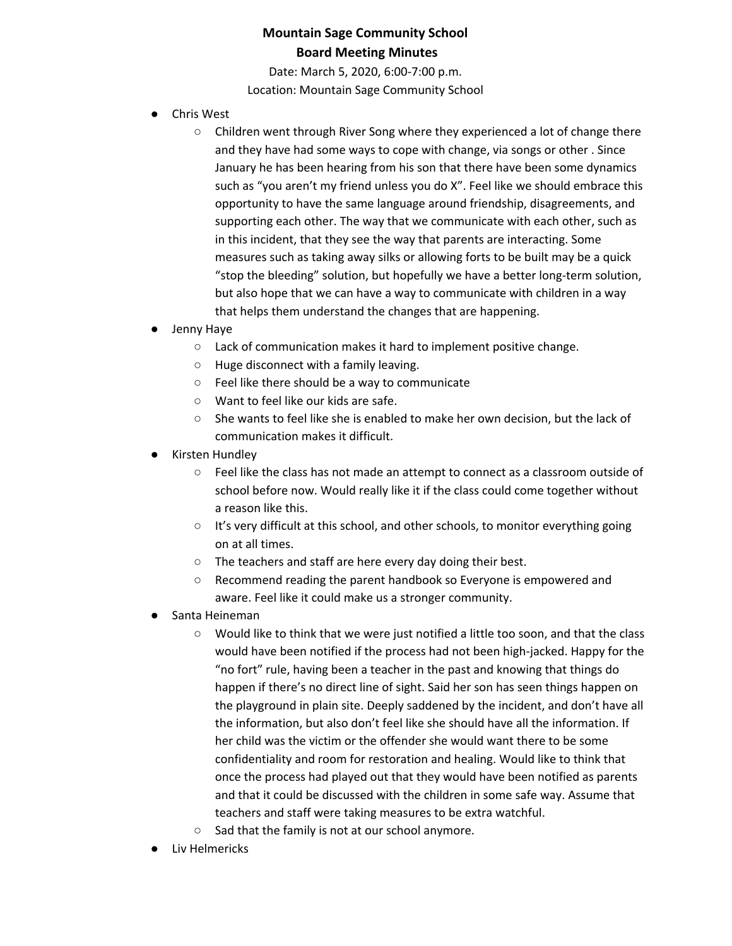Date: March 5, 2020, 6:00-7:00 p.m. Location: Mountain Sage Community School

- Chris West
	- Children went through River Song where they experienced a lot of change there and they have had some ways to cope with change, via songs or other . Since January he has been hearing from his son that there have been some dynamics such as "you aren't my friend unless you do X". Feel like we should embrace this opportunity to have the same language around friendship, disagreements, and supporting each other. The way that we communicate with each other, such as in this incident, that they see the way that parents are interacting. Some measures such as taking away silks or allowing forts to be built may be a quick "stop the bleeding" solution, but hopefully we have a better long-term solution, but also hope that we can have a way to communicate with children in a way that helps them understand the changes that are happening.
- Jenny Haye
	- Lack of communication makes it hard to implement positive change.
	- Huge disconnect with a family leaving.
	- Feel like there should be a way to communicate
	- Want to feel like our kids are safe.
	- She wants to feel like she is enabled to make her own decision, but the lack of communication makes it difficult.
- **Kirsten Hundley** 
	- Feel like the class has not made an attempt to connect as a classroom outside of school before now. Would really like it if the class could come together without a reason like this.
	- It's very difficult at this school, and other schools, to monitor everything going on at all times.
	- The teachers and staff are here every day doing their best.
	- Recommend reading the parent handbook so Everyone is empowered and aware. Feel like it could make us a stronger community.
- Santa Heineman
	- Would like to think that we were just notified a little too soon, and that the class would have been notified if the process had not been high-jacked. Happy for the "no fort" rule, having been a teacher in the past and knowing that things do happen if there's no direct line of sight. Said her son has seen things happen on the playground in plain site. Deeply saddened by the incident, and don't have all the information, but also don't feel like she should have all the information. If her child was the victim or the offender she would want there to be some confidentiality and room for restoration and healing. Would like to think that once the process had played out that they would have been notified as parents and that it could be discussed with the children in some safe way. Assume that teachers and staff were taking measures to be extra watchful.
	- Sad that the family is not at our school anymore.
- Liv Helmericks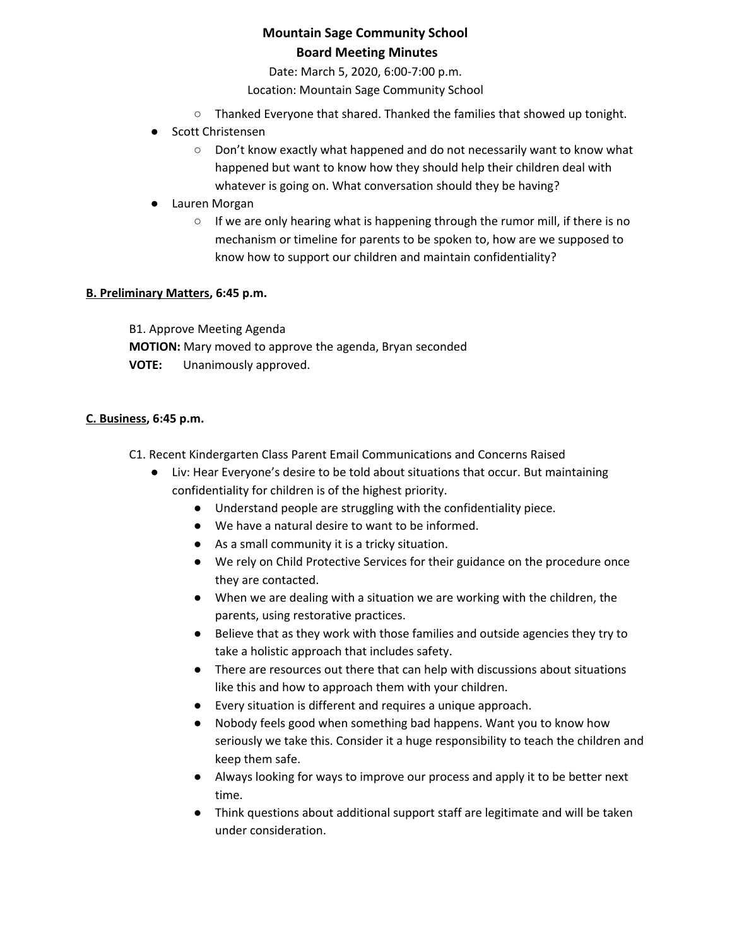Date: March 5, 2020, 6:00-7:00 p.m.

Location: Mountain Sage Community School

- Thanked Everyone that shared. Thanked the families that showed up tonight.
- Scott Christensen
	- Don't know exactly what happened and do not necessarily want to know what happened but want to know how they should help their children deal with whatever is going on. What conversation should they be having?
- Lauren Morgan
	- If we are only hearing what is happening through the rumor mill, if there is no mechanism or timeline for parents to be spoken to, how are we supposed to know how to support our children and maintain confidentiality?

### **B. Preliminary Matters, 6:45 p.m.**

B1. Approve Meeting Agenda **MOTION:** Mary moved to approve the agenda, Bryan seconded **VOTE:** Unanimously approved.

### **C. Business, 6:45 p.m.**

- C1. Recent Kindergarten Class Parent Email Communications and Concerns Raised
	- Liv: Hear Everyone's desire to be told about situations that occur. But maintaining confidentiality for children is of the highest priority.
		- Understand people are struggling with the confidentiality piece.
		- We have a natural desire to want to be informed.
		- As a small community it is a tricky situation.
		- We rely on Child Protective Services for their guidance on the procedure once they are contacted.
		- When we are dealing with a situation we are working with the children, the parents, using restorative practices.
		- Believe that as they work with those families and outside agencies they try to take a holistic approach that includes safety.
		- There are resources out there that can help with discussions about situations like this and how to approach them with your children.
		- Every situation is different and requires a unique approach.
		- Nobody feels good when something bad happens. Want you to know how seriously we take this. Consider it a huge responsibility to teach the children and keep them safe.
		- Always looking for ways to improve our process and apply it to be better next time.
		- Think questions about additional support staff are legitimate and will be taken under consideration.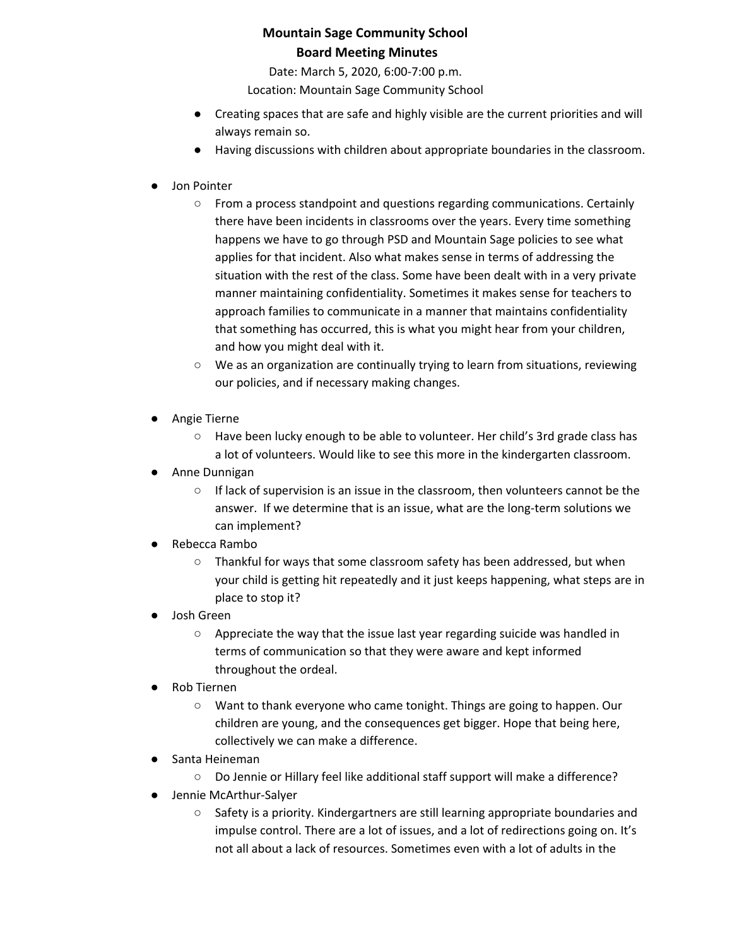Date: March 5, 2020, 6:00-7:00 p.m.

Location: Mountain Sage Community School

- Creating spaces that are safe and highly visible are the current priorities and will always remain so.
- Having discussions with children about appropriate boundaries in the classroom.
- Jon Pointer
	- From a process standpoint and questions regarding communications. Certainly there have been incidents in classrooms over the years. Every time something happens we have to go through PSD and Mountain Sage policies to see what applies for that incident. Also what makes sense in terms of addressing the situation with the rest of the class. Some have been dealt with in a very private manner maintaining confidentiality. Sometimes it makes sense for teachers to approach families to communicate in a manner that maintains confidentiality that something has occurred, this is what you might hear from your children, and how you might deal with it.
	- We as an organization are continually trying to learn from situations, reviewing our policies, and if necessary making changes.
- Angie Tierne
	- Have been lucky enough to be able to volunteer. Her child's 3rd grade class has a lot of volunteers. Would like to see this more in the kindergarten classroom.
- Anne Dunnigan
	- If lack of supervision is an issue in the classroom, then volunteers cannot be the answer. If we determine that is an issue, what are the long-term solutions we can implement?
- Rebecca Rambo
	- Thankful for ways that some classroom safety has been addressed, but when your child is getting hit repeatedly and it just keeps happening, what steps are in place to stop it?
- Josh Green
	- Appreciate the way that the issue last year regarding suicide was handled in terms of communication so that they were aware and kept informed throughout the ordeal.
- **Rob Tiernen** 
	- Want to thank everyone who came tonight. Things are going to happen. Our children are young, and the consequences get bigger. Hope that being here, collectively we can make a difference.
- Santa Heineman
	- Do Jennie or Hillary feel like additional staff support will make a difference?
- Jennie McArthur-Salyer
	- Safety is a priority. Kindergartners are still learning appropriate boundaries and impulse control. There are a lot of issues, and a lot of redirections going on. It's not all about a lack of resources. Sometimes even with a lot of adults in the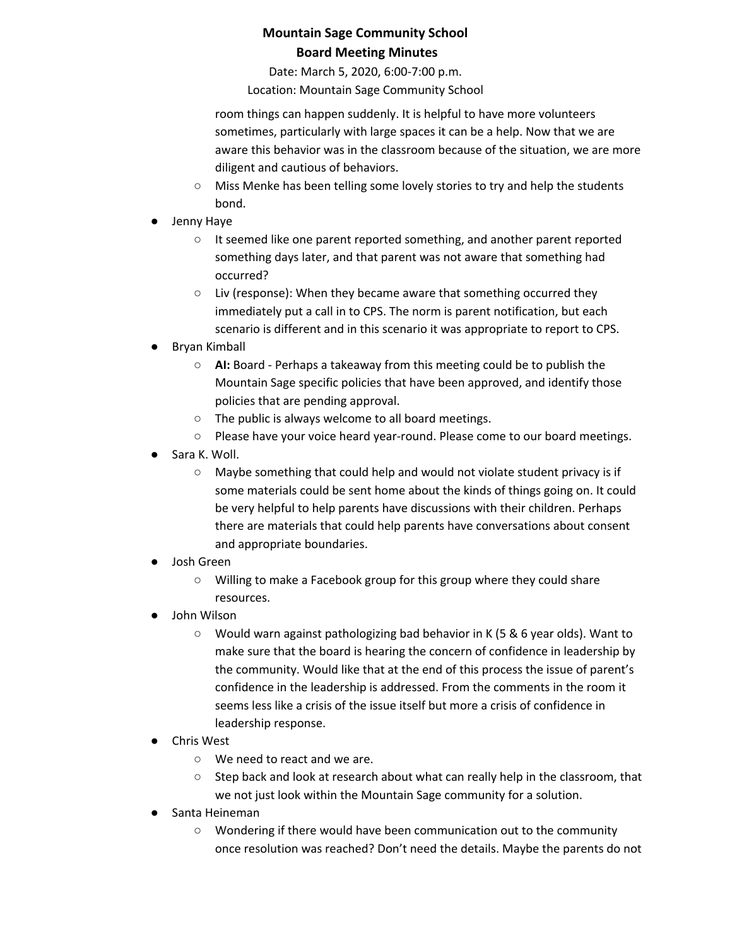Date: March 5, 2020, 6:00-7:00 p.m.

Location: Mountain Sage Community School

room things can happen suddenly. It is helpful to have more volunteers sometimes, particularly with large spaces it can be a help. Now that we are aware this behavior was in the classroom because of the situation, we are more diligent and cautious of behaviors.

- Miss Menke has been telling some lovely stories to try and help the students bond.
- Jenny Haye
	- It seemed like one parent reported something, and another parent reported something days later, and that parent was not aware that something had occurred?
	- Liv (response): When they became aware that something occurred they immediately put a call in to CPS. The norm is parent notification, but each scenario is different and in this scenario it was appropriate to report to CPS.
- Bryan Kimball
	- **AI:** Board Perhaps a takeaway from this meeting could be to publish the Mountain Sage specific policies that have been approved, and identify those policies that are pending approval.
	- The public is always welcome to all board meetings.
	- Please have your voice heard year-round. Please come to our board meetings.
- Sara K. Woll.
	- Maybe something that could help and would not violate student privacy is if some materials could be sent home about the kinds of things going on. It could be very helpful to help parents have discussions with their children. Perhaps there are materials that could help parents have conversations about consent and appropriate boundaries.
- Josh Green
	- Willing to make a Facebook group for this group where they could share resources.
- John Wilson
	- Would warn against pathologizing bad behavior in K (5 & 6 year olds). Want to make sure that the board is hearing the concern of confidence in leadership by the community. Would like that at the end of this process the issue of parent's confidence in the leadership is addressed. From the comments in the room it seems less like a crisis of the issue itself but more a crisis of confidence in leadership response.
- **Chris West** 
	- We need to react and we are.
	- Step back and look at research about what can really help in the classroom, that we not just look within the Mountain Sage community for a solution.
- Santa Heineman
	- Wondering if there would have been communication out to the community once resolution was reached? Don't need the details. Maybe the parents do not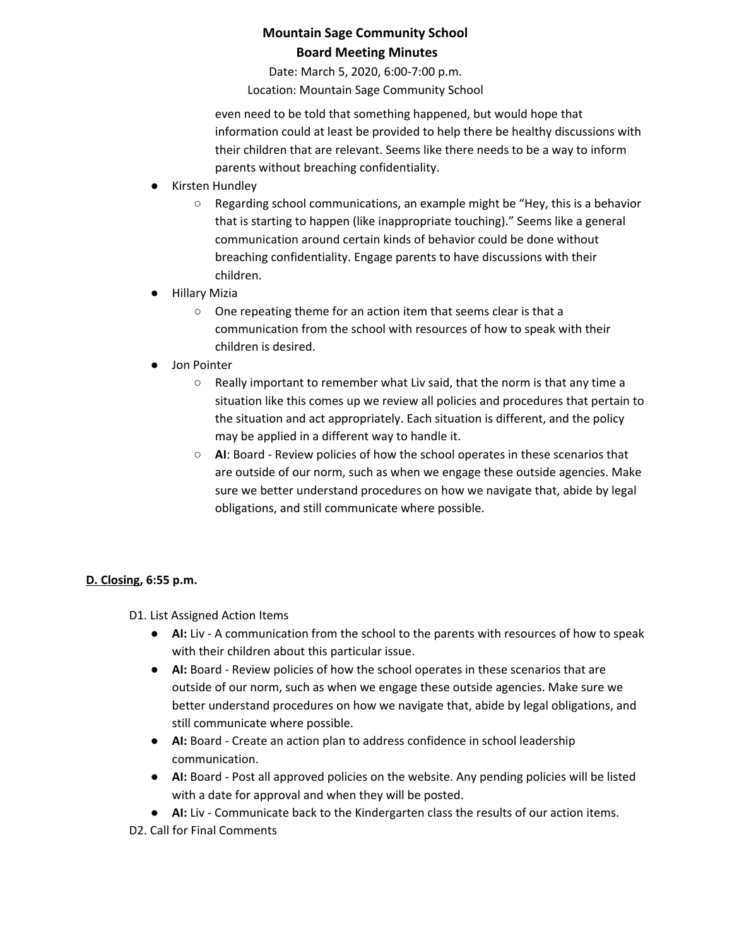Date: March 5, 2020, 6:00-7:00 p.m.

Location: Mountain Sage Community School

even need to be told that something happened, but would hope that information could at least be provided to help there be healthy discussions with their children that are relevant. Seems like there needs to be a way to inform parents without breaching confidentiality.

- **Kirsten Hundley** 
	- Regarding school communications, an example might be "Hey, this is a behavior that is starting to happen (like inappropriate touching)." Seems like a general communication around certain kinds of behavior could be done without breaching confidentiality. Engage parents to have discussions with their children.
- Hillary Mizia
	- One repeating theme for an action item that seems clear is that a communication from the school with resources of how to speak with their children is desired.
- Jon Pointer
	- Really important to remember what Liv said, that the norm is that any time a situation like this comes up we review all policies and procedures that pertain to the situation and act appropriately. Each situation is different, and the policy may be applied in a different way to handle it.
	- **AI**: Board Review policies of how the school operates in these scenarios that are outside of our norm, such as when we engage these outside agencies. Make sure we better understand procedures on how we navigate that, abide by legal obligations, and still communicate where possible.

### **D. Closing, 6:55 p.m.**

- D1. List Assigned Action Items
	- **AI:** Liv A communication from the school to the parents with resources of how to speak with their children about this particular issue.
	- **AI:** Board Review policies of how the school operates in these scenarios that are outside of our norm, such as when we engage these outside agencies. Make sure we better understand procedures on how we navigate that, abide by legal obligations, and still communicate where possible.
	- **AI:** Board Create an action plan to address confidence in school leadership communication.
	- **AI:** Board Post all approved policies on the website. Any pending policies will be listed with a date for approval and when they will be posted.
	- **AI:** Liv Communicate back to the Kindergarten class the results of our action items.

D2. Call for Final Comments